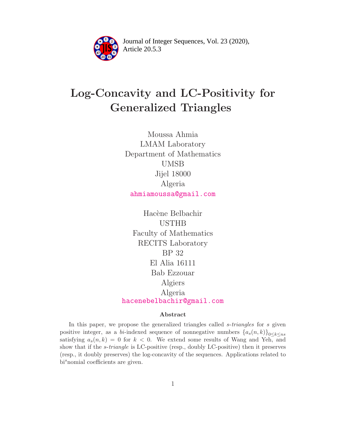

Article 20.5.3 **<sup>2</sup>** Journal of Integer Sequences, Vol. 23 (2020),

# Log-Concavity and LC-Positivity for Generalized Triangles

Moussa Ahmia LMAM Laboratory Department of Mathematics UMSB Jijel 18000 Algeria [ahmiamoussa@gmail.com](mailto:ahmiamoussa@gmail.com)

Hacène Belbachir USTHB Faculty of Mathematics RECITS Laboratory BP 32 El Alia 16111 Bab Ezzouar Algiers Algeria [hacenebelbachir@gmail.com](mailto:hacenebelbachir@gmail.com)

### Abstract

In this paper, we propose the generalized triangles called s-triangles for s given positive integer, as a bi-indexed sequence of nonnegative numbers  ${a_s(n, k)}_{0 \leq k \leq ns}$ satisfying  $a_s(n, k) = 0$  for  $k < 0$ . We extend some results of Wang and Yeh, and show that if the s-triangle is LC-positive (resp., doubly LC-positive) then it preserves (resp., it doubly preserves) the log-concavity of the sequences. Applications related to  $bi<sup>s</sup>nomial coefficients are given.$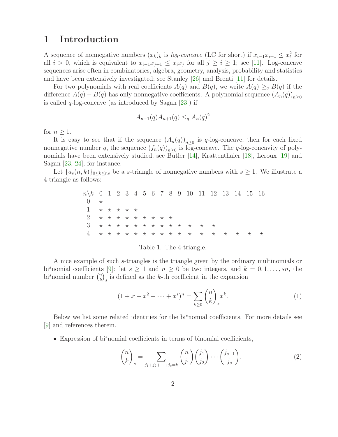## 1 Introduction

A sequence of nonnegative numbers  $(x_k)_k$  is *log-concave* (LC for short) if  $x_{i-1}x_{i+1} \leq x_i^2$  for all  $i > 0$ , which is equivalent to  $x_{i-1}x_{j+1} \leq x_ix_j$  for all  $j \geq i \geq 1$ ; see [\[11\]](#page-15-0). Log-concave sequences arise often in combinatorics, algebra, geometry, analysis, probability and statistics and have been extensively investigated; see Stanley [\[26\]](#page-16-0) and Brenti [\[11\]](#page-15-0) for details.

For two polynomials with real coefficients  $A(q)$  and  $B(q)$ , we write  $A(q) \geq_q B(q)$  if the difference  $A(q) - B(q)$  has only nonnegative coefficients. A polynomial sequence  $(A_n(q))_{n>0}$ is called  $q$ -log-concave (as introduced by Sagan [\[23\]](#page-16-1)) if

$$
A_{n-1}(q)A_{n+1}(q) \leq q A_n(q)^2
$$

for  $n > 1$ .

It is easy to see that if the sequence  $(A_n(q))_{n\geq 0}$  is q-log-concave, then for each fixed nonnegative number q, the sequence  $(f_n(q))_{n\geq 0}$  is log-concave. The q-log-concavity of poly-nomials have been extensively studied; see Butler [\[14\]](#page-15-1), Krattenthaler [\[18\]](#page-16-2), Leroux [\[19\]](#page-16-3) and Sagan [\[23,](#page-16-1) [24\]](#page-16-4), for instance.

Let  $\{a_s(n,k)\}_{0\leq k\leq ns}$  be a s-triangle of nonnegative numbers with  $s\geq 1$ . We illustrate a 4-triangle as follows:

| $n \ k \ 0 \ 1 \ 2 \ 3 \ 4 \ 5 \ 6 \ 7 \ 8 \ 9 \ 10 \ 11 \ 12 \ 13 \ 14 \ 15 \ 16$ |  |  |  |  |  |  |                                 |  |  |
|------------------------------------------------------------------------------------|--|--|--|--|--|--|---------------------------------|--|--|
|                                                                                    |  |  |  |  |  |  |                                 |  |  |
| $1 \times \star \star \star \star \star$                                           |  |  |  |  |  |  |                                 |  |  |
| 2 * * * * * * * * *                                                                |  |  |  |  |  |  |                                 |  |  |
| 3 * * * * * * * * * * * * *                                                        |  |  |  |  |  |  |                                 |  |  |
|                                                                                    |  |  |  |  |  |  | * * * * * * * * * * * * * * * * |  |  |

#### Table 1. The 4-triangle.

A nice example of such s-triangles is the triangle given by the ordinary multinomials or bi<sup>s</sup> nomial coefficients [\[9\]](#page-15-2): let  $s \geq 1$  and  $n \geq 0$  be two integers, and  $k = 0, 1, \ldots, sn$ , the bi<sup>s</sup> nomial number  $\binom{n}{k}$  $\binom{n}{k}_s$  is defined as the k-th coefficient in the expansion

$$
(1 + x + x2 + \dots + xs)n = \sum_{k \ge 0} {n \choose k}_{s} xk.
$$
 (1)

Below we list some related identities for the bi<sup>s</sup>nomial coefficients. For more details see [\[9\]](#page-15-2) and references therein.

 $\bullet$  Expression of bi<sup>s</sup>nomial coefficients in terms of binomial coefficients,

$$
\binom{n}{k}_s = \sum_{j_1+j_2+\dots+j_s=k} \binom{n}{j_1} \binom{j_1}{j_2} \dots \binom{j_{s-1}}{j_s}.
$$
\n(2)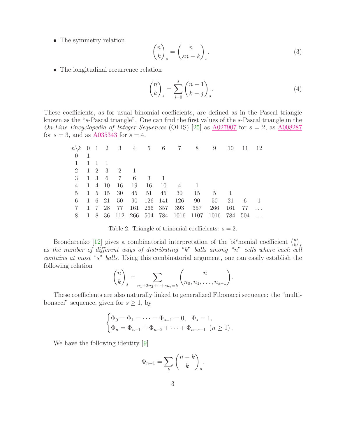• The symmetry relation

$$
\binom{n}{k}_s = \binom{n}{sn-k}_s.
$$
\n(3)

• The longitudinal recurrence relation

<span id="page-2-0"></span>
$$
\binom{n}{k}_s = \sum_{j=0}^s \binom{n-1}{k-j}_s.
$$
\n(4)

These coefficients, as for usual binomial coefficients, are defined as in the Pascal triangle known as the "s-Pascal triangle". One can find the first values of the s-Pascal triangle in the On-Line Encyclopedia of Integer Sequences (OEIS) [\[25\]](#page-16-5) as [A027907](https://oeis.org/A027907) for  $s = 2$ , as [A008287](https://oeis.org/A008287) for  $s = 3$ , and as  $A035343$  for  $s = 4$ .

|                             |                |        |                            |     |       |             | $n\backslash k$ 0 1 2 3 4 5 6 7 8 9         |         |          | - 10 | - 11 | - 12           |
|-----------------------------|----------------|--------|----------------------------|-----|-------|-------------|---------------------------------------------|---------|----------|------|------|----------------|
| $\overline{0}$              | $\overline{1}$ |        |                            |     |       |             |                                             |         |          |      |      |                |
| $1 \t1 \t1 \t1$             |                |        |                            |     |       |             |                                             |         |          |      |      |                |
|                             |                |        | 2 1 2 3 2 1                |     |       |             |                                             |         |          |      |      |                |
| $3 \quad 1 \quad 3 \quad 6$ |                |        | 7                          | 6 3 |       |             |                                             |         |          |      |      |                |
| 4                           |                | 1 4 10 | - 16                       | 19  | 16    | - 10        | $\overline{4}$                              |         |          |      |      |                |
| $5\degree$                  |                |        | $1\quad 5\quad 15\quad 30$ |     | 45 51 | 45          | 30                                          | 15      | $5 \t 1$ |      |      |                |
| 6                           |                | 1 6 21 | 50                         |     |       |             | 90 126 141 126 90                           |         | 50       | 21   | - 6  | $\overline{1}$ |
| $7\overline{ }$             |                | 1 7 28 | 77                         |     |       | 161 266 357 |                                             | 393 357 | 266      | 161  | 77   |                |
| 8                           | -1             |        |                            |     |       |             | 8 36 112 266 504 784 1016 1107 1016 784 504 |         |          |      |      |                |

Table 2. Triangle of trinomial coefficients:  $s = 2$ .

Brondarenko [\[12\]](#page-15-3) gives a combinatorial interpretation of the bi<sup>s</sup>nomial coefficient  $\binom{n}{k}$  $\binom{n}{k}$ as the number of different ways of distributing "k" balls among "n" cells where each cell contains at most "s" balls. Using this combinatorial argument, one can easily establish the following relation

$$
\binom{n}{k}_{s} = \sum_{n_1+2n_2+\cdots+sn_s=k} \binom{n}{n_0, n_1, \ldots, n_{s-1}}.
$$

These coefficients are also naturally linked to generalized Fibonacci sequence: the "multibonacci" sequence, given for  $s \geq 1$ , by

$$
\begin{cases} \Phi_0 = \Phi_1 = \dots = \Phi_{s-1} = 0, & \Phi_s = 1, \\ \Phi_n = \Phi_{n-1} + \Phi_{n-2} + \dots + \Phi_{n-s-1} \ (n \ge 1). \end{cases}
$$

We have the following identity [\[9\]](#page-15-2)

$$
\Phi_{n+1} = \sum_{k} \binom{n-k}{k}_{s}.
$$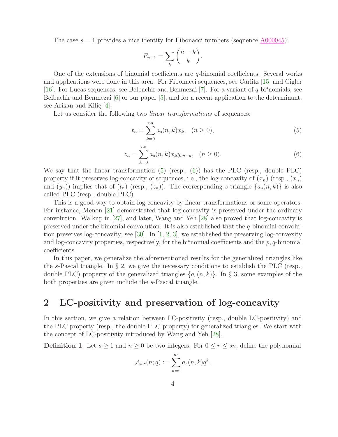The case  $s = 1$  provides a nice identity for Fibonacci numbers (sequence [A000045\)](https://oeis.org/A000045):

$$
F_{n+1} = \sum_{k} \binom{n-k}{k}.
$$

One of the extensions of binomial coefficients are q-binomial coefficients. Several works and applications were done in this area. For Fibonacci sequences, see Carlitz [\[15\]](#page-15-4) and Cigler [\[16\]](#page-15-5). For Lucas sequences, see Belbachir and Benmezai [\[7\]](#page-15-6). For a variant of  $q$ -bi<sup>s</sup>nomials, see Belbachir and Benmezai [\[6\]](#page-15-7) or our paper [\[5\]](#page-15-8), and for a recent application to the determinant, see Arikan and Kiliç  $[4]$ .

Let us consider the following two *linear transformations* of sequences:

<span id="page-3-0"></span>
$$
t_n = \sum_{k=0}^{ns} a_s(n,k)x_k, \quad (n \ge 0),
$$
 (5)

<span id="page-3-1"></span>
$$
z_n = \sum_{k=0}^{ns} a_s(n,k) x_k y_{sn-k}, \quad (n \ge 0).
$$
 (6)

We say that the linear transformation  $(5)$  (resp.,  $(6)$ ) has the PLC (resp., double PLC) property if it preserves log-concavity of sequences, i.e., the log-concavity of  $(x_n)$  (resp.,  $(x_n)$ ) and  $(y_n)$  implies that of  $(t_n)$  (resp.,  $(z_n)$ ). The corresponding s-triangle  $\{a_s(n,k)\}\$ is also called PLC (resp., double PLC).

This is a good way to obtain log-concavity by linear transformations or some operators. For instance, Menon [\[21\]](#page-16-6) demonstrated that log-concavity is preserved under the ordinary convolution. Walkup in [\[27\]](#page-16-7), and later, Wang and Yeh [\[28\]](#page-16-8) also proved that log-concavity is preserved under the binomial convolution. It is also established that the  $q$ -binomial convolution preserves log-concavity; see  $[30]$ . In  $[1, 2, 3]$  $[1, 2, 3]$  $[1, 2, 3]$  $[1, 2, 3]$ , we established the preserving log-convexity and log-concavity properties, respectively, for the bi<sup>s</sup>nomial coefficients and the  $p, q$ -binomial coefficients.

In this paper, we generalize the aforementioned results for the generalized triangles like the s-Pascal triangle. In  $\S 2$ , we give the necessary conditions to establish the PLC (resp., double PLC) property of the generalized triangles  $\{a_s(n,k)\}\$ . In § 3, some examples of the both properties are given include the s-Pascal triangle.

# 2 LC-positivity and preservation of log-concavity

In this section, we give a relation between LC-positivity (resp., double LC-positivity) and the PLC property (resp., the double PLC property) for generalized triangles. We start with the concept of LC-positivity introduced by Wang and Yeh [\[28\]](#page-16-8).

**Definition 1.** Let  $s \ge 1$  and  $n \ge 0$  be two integers. For  $0 \le r \le sn$ , define the polynomial

$$
\mathcal{A}_{s,r}(n;q) := \sum_{k=r}^{ns} a_s(n,k)q^k.
$$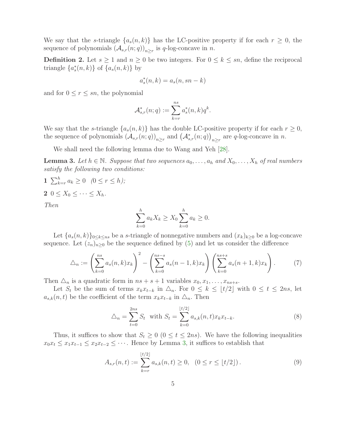We say that the s-triangle  $\{a_s(n,k)\}\$  has the LC-positive property if for each  $r\geq 0$ , the sequence of polynomials  $(A_{s,r}(n;q))_{n\geq r}$  is q-log-concave in n.

**Definition 2.** Let  $s \ge 1$  and  $n \ge 0$  be two integers. For  $0 \le k \le sn$ , define the reciprocal triangle  $\{a_s^*(n,k)\}\,$  of  $\{a_s(n,k)\}\,$  by

$$
a_s^*(n,k) = a_s(n,sn-k)
$$

and for  $0 \leq r \leq sn$ , the polynomial

$$
\mathcal{A}_{s,r}^*(n;q) := \sum_{k=r}^{ns} a_s^*(n,k)q^k.
$$

We say that the s-triangle  $\{a_s(n,k)\}\$  has the double LC-positive property if for each  $r \geq 0$ , the sequence of polynomials  $(\mathcal{A}_{s,r}(n;q))_{n\geq r}$  and  $(\mathcal{A}_{s,r}^*(n;q))_{n\geq r}$  are q-log-concave in n.

We shall need the following lemma due to Wang and Yeh [\[28\]](#page-16-8).

<span id="page-4-0"></span>**Lemma 3.** Let  $h \in \mathbb{N}$ . Suppose that two sequences  $a_0, \ldots, a_h$  and  $X_0, \ldots, X_h$  of real numbers satisfy the following two conditions:

1  $\sum_{k=r}^{h} a_k \ge 0$   $(0 \le r \le h);$ 2  $0 \leq X_0 \leq \cdots \leq X_h$ .

Then

$$
\sum_{k=0}^{h} a_k X_k \ge X_0 \sum_{k=0}^{h} a_k \ge 0.
$$

Let  ${a_s(n, k)}_{0 \leq k \leq ns}$  be a s-triangle of nonnegative numbers and  $(x_k)_{k\geq 0}$  be a log-concave sequence. Let  $(z_n)_{n\geq 0}$  be the sequence defined by [\(5\)](#page-3-0) and let us consider the difference

<span id="page-4-1"></span>
$$
\Delta_n := \left(\sum_{k=0}^{ns} a_s(n,k)x_k\right)^2 - \left(\sum_{k=0}^{ns-s} a_s(n-1,k)x_k\right)\left(\sum_{k=0}^{ns+s} a_s(n+1,k)x_k\right). \tag{7}
$$

Then  $\Delta_n$  is a quadratic form in  $ns + s + 1$  variables  $x_0, x_1, \ldots, x_{ns+s}$ .

Let  $S_t$  be the sum of terms  $x_k x_{t-k}$  in  $\triangle_n$ . For  $0 \leq k \leq \lfloor t/2 \rfloor$  with  $0 \leq t \leq 2ns$ , let  $a_{s,k}(n, t)$  be the coefficient of the term  $x_k x_{t-k}$  in  $\Delta_n$ . Then

$$
\triangle_n = \sum_{t=0}^{2ns} S_t \text{ with } S_t = \sum_{k=0}^{\lfloor t/2 \rfloor} a_{s,k}(n,t) x_k x_{t-k}.
$$
 (8)

Thus, it suffices to show that  $S_t \geq 0$  ( $0 \leq t \leq 2ns$ ). We have the following inequalities  $x_0x_t \leq x_1x_{t-1} \leq x_2x_{t-2} \leq \cdots$ . Hence by Lemma [3,](#page-4-0) it suffices to establish that

$$
A_{s,r}(n,t) := \sum_{k=r}^{\lfloor t/2 \rfloor} a_{s,k}(n,t) \ge 0, \quad (0 \le r \le \lfloor t/2 \rfloor). \tag{9}
$$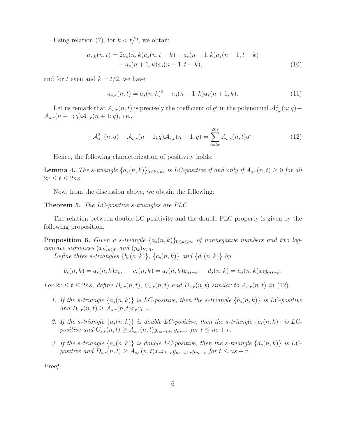Using relation [\(7\)](#page-4-1), for  $k < t/2$ , we obtain

$$
a_{s,k}(n,t) = 2a_s(n,k)a_s(n,t-k) - a_s(n-1,k)a_s(n+1,t-k)
$$
  
- 
$$
a_s(n+1,k)a_s(n-1,t-k),
$$
 (10)

and for t even and  $k = t/2$ , we have

$$
a_{s,k}(n,t) = a_s(n,k)^2 - a_s(n-1,k)a_s(n+1,k).
$$
 (11)

Let us remark that  $A_{s,r}(n,t)$  is precisely the coefficient of  $q^t$  in the polynomial  $\mathcal{A}_{s,r}^2(n;q)$  –  $\mathcal{A}_{s,r}(n-1;q)\mathcal{A}_{s,r}(n+1;q),$  i.e.,

<span id="page-5-0"></span>
$$
\mathcal{A}_{s,r}^2(n;q) - \mathcal{A}_{s,r}(n-1;q)\mathcal{A}_{s,r}(n+1;q) = \sum_{t=2r}^{2ns} A_{s,r}(n,t)q^t.
$$
 (12)

Hence, the following characterization of positivity holds:

<span id="page-5-3"></span>**Lemma 4.** The s-triangle  $\{a_s(n,k)\}_{0\leq k\leq ns}$  is LC-positive if and only if  $A_{s,r}(n,t) \geq 0$  for all  $2r \le t \le 2ns$ .

Now, from the discussion above, we obtain the following:

<span id="page-5-2"></span>Theorem 5. The LC-positive s-triangles are PLC.

The relation between double LC-positivity and the double PLC property is given by the following proposition.

<span id="page-5-1"></span>**Proposition 6.** Given a s-triangle  $\{a_s(n,k)\}_{0\leq k\leq ns}$  of nonnegative numbers and two logconcave sequences  $(x_k)_{k>0}$  and  $(y_k)_{k>0}$ .

Define three s-triangles  $\{b_s(n,k)\},\ \{c_s(n,k)\}\$  and  $\{d_s(n,k)\}\$  by

$$
b_s(n,k) = a_s(n,k)x_k
$$
,  $c_s(n,k) = a_s(n,k)y_{ns-k}$ ,  $d_s(n,k) = a_s(n,k)x_ky_{ns-k}$ .

For  $2r \le t \le 2ns$ , define  $B_{s,r}(n,t)$ ,  $C_{s,r}(n,t)$  and  $D_{s,r}(n,t)$  similar to  $A_{s,r}(n,t)$  in [\(12\)](#page-5-0).

- 1. If the s-triangle  $\{a_s(n,k)\}\$ is LC-positive, then the s-triangle  $\{b_s(n,k)\}\$ is LC-positive and  $B_{s,r}(n,t) \geq A_{s,r}(n,t)x_rx_{t-r}.$
- 2. If the s-triangle  $\{a_s(n,k)\}\$ is double LC-positive, then the s-triangle  $\{c_s(n,k)\}\$ is LCpositive and  $C_{s,r}(n,t) \geq A_{s,r}(n,t)y_{ns-t+r}y_{ns-r}$  for  $t \leq ns + r$ .
- 3. If the s-triangle  $\{a_s(n,k)\}\$ is double LC-positive, then the s-triangle  $\{d_s(n,k)\}\$ is LCpositive and  $D_{s,r}(n,t) \geq A_{s,r}(n,t)x_rx_{t-r}y_{ns-t+r}y_{ns-r}$  for  $t \leq ns + r$ .

Proof.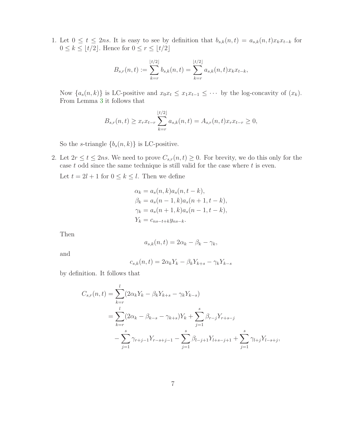1. Let  $0 \le t \le 2ns$ . It is easy to see by definition that  $b_{s,k}(n,t) = a_{s,k}(n,t)x_kx_{t-k}$  for  $0 \leq k \leq \lfloor t/2 \rfloor$ . Hence for  $0 \leq r \leq \lfloor t/2 \rfloor$ 

$$
B_{s,r}(n,t) := \sum_{k=r}^{\lfloor t/2 \rfloor} b_{s,k}(n,t) = \sum_{k=r}^{\lfloor t/2 \rfloor} a_{s,k}(n,t) x_k x_{t-k},
$$

Now  $\{a_s(n,k)\}\$ is LC-positive and  $x_0x_t \leq x_1x_{t-1} \leq \cdots$  by the log-concavity of  $(x_k)$ . From Lemma [3](#page-4-0) it follows that

$$
B_{s,r}(n,t) \ge x_r x_{t-r} \sum_{k=r}^{\lfloor t/2 \rfloor} a_{s,k}(n,t) = A_{s,r}(n,t) x_r x_{t-r} \ge 0,
$$

So the s-triangle  ${b_s(n, k)}$  is LC-positive.

2. Let  $2r \le t \le 2ns$ . We need to prove  $C_{s,r}(n,t) \ge 0$ . For brevity, we do this only for the case  $t$  odd since the same technique is still valid for the case where  $t$  is even.

Let  $t = 2l + 1$  for  $0 \le k \le l$ . Then we define

$$
\alpha_k = a_s(n, k)a_s(n, t - k), \n\beta_k = a_s(n - 1, k)a_s(n + 1, t - k), \n\gamma_k = a_s(n + 1, k)a_s(n - 1, t - k), \nY_k = c_{ns-t+k}y_{ns-k}.
$$

Then

$$
a_{s,k}(n,t) = 2\alpha_k - \beta_k - \gamma_k,
$$

and

$$
c_{s,k}(n,t) = 2\alpha_k Y_k - \beta_k Y_{k+s} - \gamma_k Y_{k-s}
$$

by definition. It follows that

$$
C_{s,r}(n,t) = \sum_{k=r}^{l} (2\alpha_k Y_k - \beta_k Y_{k+s} - \gamma_k Y_{k-s})
$$
  
= 
$$
\sum_{k=r}^{l} (2\alpha_k - \beta_{k-s} - \gamma_{k+s})Y_k + \sum_{j=1}^{s} \beta_{r-j} Y_{r+s-j}
$$
  
- 
$$
\sum_{j=1}^{s} \gamma_{r+j-1} Y_{r-s+j-1} - \sum_{j=1}^{s} \beta_{l-j+1} Y_{l+s-j+1} + \sum_{j=1}^{s} \gamma_{l+j} Y_{l-s+j},
$$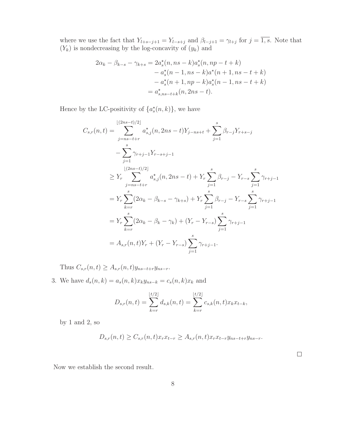where we use the fact that  $Y_{l+s-j+1} = Y_{l-s+j}$  and  $\beta_{l-j+1} = \gamma_{l+j}$  for  $j = \overline{1, s}$ . Note that  $(Y_k)$  is nondecreasing by the log-concavity of  $(y_k)$  and

$$
2\alpha_k - \beta_{k-s} - \gamma_{k+s} = 2a_s^*(n, ns - k)a_s^*(n, np - t + k)
$$
  

$$
- a_s^*(n - 1, ns - k)a^*(n + 1, ns - t + k)
$$
  

$$
- a_s^*(n + 1, np - k)a_s^*(n - 1, ns - t + k)
$$
  

$$
= a_{s, ns-t+k}^*(n, 2ns - t).
$$

Hence by the LC-positivity of  $\{a_s^*(n,k)\}\,$ , we have

$$
C_{s,r}(n,t) = \sum_{j=s-t+r}^{\lfloor (2ns-t)/2 \rfloor} a_{s,j}^*(n, 2ns-t)Y_{j-ns+t} + \sum_{j=1}^s \beta_{r-j}Y_{r+s-j}
$$
  
\n
$$
- \sum_{j=1}^s \gamma_{r+j-1}Y_{r-s+j-1}
$$
  
\n
$$
\geq Y_r \sum_{j=ns-t+r}^{\lfloor (2ns-t)/2 \rfloor} a_{s,j}^*(n, 2ns-t) + Y_r \sum_{j=1}^s \beta_{r-j} - Y_{r-s} \sum_{j=1}^s \gamma_{r+j-1}
$$
  
\n
$$
= Y_r \sum_{k=r}^s (2\alpha_k - \beta_{k-s} - \gamma_{k+s}) + Y_r \sum_{j=1}^s \beta_{r-j} - Y_{r-s} \sum_{j=1}^s \gamma_{r+j-1}
$$
  
\n
$$
= Y_r \sum_{k=r}^s (2\alpha_k - \beta_k - \gamma_k) + (Y_r - Y_{r-s}) \sum_{j=1}^s \gamma_{r+j-1}
$$
  
\n
$$
= A_{s,r}(n,t)Y_r + (Y_r - Y_{r-s}) \sum_{j=1}^s \gamma_{r+j-1}.
$$

Thus  $C_{s,r}(n,t) \geq A_{s,r}(n,t)y_{ns-t+r}y_{ns-r}$ .

3. We have  $d_s(n, k) = a_s(n, k)x_ky_{ns-k} = c_s(n, k)x_k$  and

$$
D_{s,r}(n,t) = \sum_{k=r}^{\lfloor t/2 \rfloor} d_{s,k}(n,t) = \sum_{k=r}^{\lfloor t/2 \rfloor} c_{s,k}(n,t) x_k x_{t-k},
$$

by 1 and 2, so

$$
D_{s,r}(n,t) \geq C_{s,r}(n,t)x_r x_{t-r} \geq A_{s,r}(n,t)x_r x_{t-r} y_{ns-t+r} y_{ns-r}.
$$

 $\Box$ 

Now we establish the second result.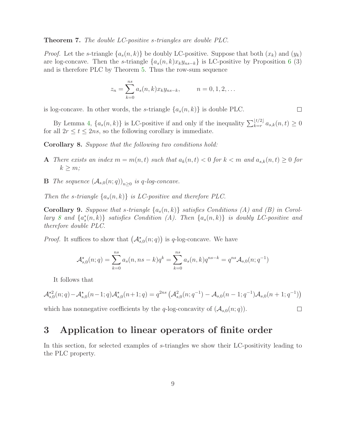#### Theorem 7. The double LC-positive s-triangles are double PLC.

*Proof.* Let the s-triangle  $\{a_s(n,k)\}\$ be doubly LC-positive. Suppose that both  $(x_k)$  and  $(y_k)$ are log-concave. Then the s-triangle  $\{a_s(n,k)x_ky_{ns-k}\}\$ is LC-positive by Proposition [6](#page-5-1) (3) and is therefore PLC by Theorem [5.](#page-5-2) Thus the row-sum sequence

$$
z_n = \sum_{k=0}^{ns} a_s(n,k) x_k y_{ns-k}, \qquad n = 0, 1, 2, \dots
$$

is log-concave. In other words, the s-triangle  $\{a_s(n,k)\}\$ is double PLC.

By Lemma [4,](#page-5-3)  $\{a_s(n,k)\}\$ is LC-positive if and only if the inequality  $\sum_{k=r}^{\lfloor t/2 \rfloor} a_{s,k}(n,t) \geq 0$ for all  $2r \le t \le 2ns$ , so the following corollary is immediate.

 $\Box$ 

 $\Box$ 

<span id="page-8-0"></span>Corollary 8. Suppose that the following two conditions hold:

- A There exists an index  $m = m(n, t)$  such that  $a_k(n, t) < 0$  for  $k < m$  and  $a_{s,k}(n, t) \geq 0$  for  $k > m$ ;
- **B** The sequence  $(A_{s,0}(n;q))_{n\geq 0}$  is q-log-concave.

Then the s-triangle  $\{a_s(n,k)\}\;$  is LC-positive and therefore PLC.

**Corollary 9.** Suppose that s-triangle  $\{a_s(n,k)\}\$  satisfies Conditions (A) and (B) in Corol-lary [8](#page-8-0) and  $\{a_s^*(n,k)\}\$  satisfies Condition (A). Then  $\{a_s(n,k)\}\$  is doubly LC-positive and therefore double PLC.

*Proof.* It suffices to show that  $(\mathcal{A}_{s,0}^*(n;q))$  is q-log-concave. We have

$$
\mathcal{A}_{s,0}^{\star}(n;q) = \sum_{k=0}^{ns} a_s(n,ns-k)q^k = \sum_{k=0}^{ns} a_s(n,k)q^{ns-k} = q^{ns}\mathcal{A}_{s,0}(n;q^{-1})
$$

It follows that

$$
\mathcal{A}_{s,0}^{\star 2}(n;q) - \mathcal{A}_{s,0}^{\star}(n-1;q) \mathcal{A}_{s,0}^{\star}(n+1;q) = q^{2ns} \left( \mathcal{A}_{s,0}^{2}(n;q^{-1}) - \mathcal{A}_{s,0}(n-1;q^{-1}) \mathcal{A}_{s,0}(n+1;q^{-1}) \right)
$$

which has nonnegative coefficients by the q-log-concavity of  $(A_{s,0}(n;q))$ .

### 3 Application to linear operators of finite order

In this section, for selected examples of s-triangles we show their LC-positivity leading to the PLC property.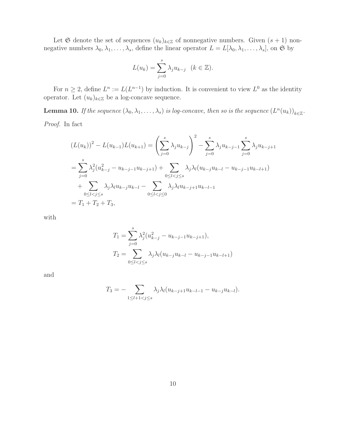Let G denote the set of sequences  $(u_k)_{k\in\mathbb{Z}}$  of nonnegative numbers. Given  $(s + 1)$  nonnegative numbers  $\lambda_0, \lambda_1, \ldots, \lambda_s$ , define the linear operator  $L = L[\lambda_0, \lambda_1, \ldots, \lambda_s]$ , on  $\mathfrak{S}$  by

$$
L(u_k) = \sum_{j=0}^{s} \lambda_j u_{k-j} \quad (k \in \mathbb{Z}).
$$

For  $n \geq 2$ , define  $L^n := L(L^{n-1})$  by induction. It is convenient to view  $L^0$  as the identity operator. Let  $(u_k)_{k\in\mathbb{Z}}$  be a log-concave sequence.

<span id="page-9-0"></span>**Lemma 10.** If the sequence  $(\lambda_0, \lambda_1, \ldots, \lambda_s)$  is log-concave, then so is the sequence  $(L^n(u_k))_{k \in \mathbb{Z}}$ .

Proof. In fact

$$
(L(u_k))^2 - L(u_{k-1})L(u_{k+1}) = \left(\sum_{j=0}^s \lambda_j u_{k-j}\right)^2 - \sum_{j=0}^s \lambda_j u_{k-j-1} \sum_{j=0}^s \lambda_j u_{k-j+1}
$$
  
= 
$$
\sum_{j=0}^s \lambda_j^2 (u_{k-j}^2 - u_{k-j-1}u_{k-j+1}) + \sum_{0 \le l < j \le s} \lambda_j \lambda_l (u_{k-j}u_{k-l} - u_{k-j-1}u_{k-l+1})
$$
  
+ 
$$
\sum_{0 \le l < j \le s} \lambda_j \lambda_l u_{k-j}u_{k-l} - \sum_{0 \le l < j \le 0} \lambda_j \lambda_l u_{k-j+1}u_{k-l-1}
$$
  
=  $T_1 + T_2 + T_3$ ,

with

$$
T_1 = \sum_{j=0}^{s} \lambda_j^2 (u_{k-j}^2 - u_{k-j-1}u_{k-j+1}),
$$
  
\n
$$
T_2 = \sum_{0 \le l < j \le s} \lambda_j \lambda_l (u_{k-j}u_{k-l} - u_{k-j-1}u_{k-l+1})
$$

and

$$
T_3 = - \sum_{1 \leq l+1 < j \leq s} \lambda_j \lambda_l (u_{k-j+1} u_{k-l-1} - u_{k-j} u_{k-l}).
$$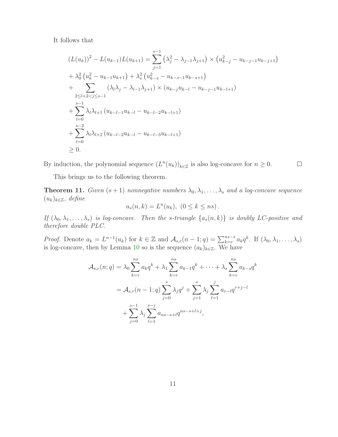It follows that

$$
(L(u_k))^2 - L(u_{k-1})L(u_{k+1}) = \sum_{j=1}^{s-1} (\lambda_j^2 - \lambda_{j-1}\lambda_{j+1}) \times (u_{k-j}^2 - u_{k-j-1}u_{k-j+1})
$$
  
+  $\lambda_0^2 (u_k^2 - u_{k-1}u_{k+1}) + \lambda_s^2 (u_{k-s}^2 - u_{k-s-1}u_{k-s+1})$   
+  $\sum_{2 \le l+2 < j \le s-1} (\lambda_l\lambda_j - \lambda_{l-1}\lambda_{j+1}) \times (u_{k-j}u_{k-l} - u_{k-j-1}u_{k-l+1})$   
+  $\sum_{l=0}^{s-1} \lambda_l\lambda_{l+1} (u_{k-l-1}u_{k-l} - u_{k-l-2}u_{k-l+1})$   
+  $\sum_{l=0}^{s-2} \lambda_l\lambda_{l+2} (u_{k-l-2}u_{k-l} - u_{k-l-3}u_{k-l+1})$   
 $\ge 0.$ 

By induction, the polynomial sequence  $(L^n(u_k))_{k\in\mathbb{Z}}$  is also log-concave for  $n\geq 0$ .

 $\Box$ 

This brings us to the following theorem.

<span id="page-10-0"></span>**Theorem 11.** Given  $(s + 1)$  nonnegative numbers  $\lambda_0, \lambda_1, \ldots, \lambda_s$  and a log-concave sequence  $(u_k)_{k\in\mathbb{Z}}$ , define

$$
a_s(n,k) = L^n(u_k), \ (0 \le k \le ns).
$$

If  $(\lambda_0, \lambda_1, \ldots, \lambda_s)$  is log-concave. Then the s-triangle  $\{a_s(n,k)\}\$ is doubly LC-positive and therefore double PLC.

*Proof.* Denote  $a_k = L^{n-1}(u_k)$  for  $k \in \mathbb{Z}$  and  $\mathcal{A}_{s,r}(n-1;q) = \sum_{k=r}^{ns-s} a_k q^k$ . If  $(\lambda_0, \lambda_1, \ldots, \lambda_s)$ is log-concave, then by Lemma [10](#page-9-0) so is the sequence  $(a_k)_{k\in\mathbb{Z}}$ . We have

$$
\mathcal{A}_{s,r}(n;q) = \lambda_0 \sum_{k=r}^{ns} a_k q^k + \lambda_1 \sum_{k=r}^{ns} a_{k-1} q^k + \dots + \lambda_s \sum_{k=r}^{ns} a_{k-s} q^k
$$

$$
= \mathcal{A}_{s,r}(n-1;q) \sum_{j=0}^{s} \lambda_j q^j + \sum_{j=1}^{s} \lambda_j \sum_{l=1}^{j} a_{r-l} q^{r+j-l}
$$

$$
+ \sum_{j=0}^{s-1} \lambda_j \sum_{l=1}^{s-j} a_{ns-s+l} q^{ns-s+l+j},
$$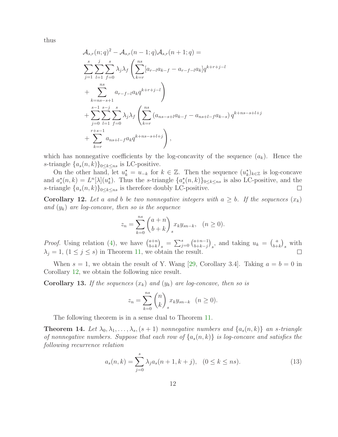thus

$$
\mathcal{A}_{s,r}(n;q)^{2} - \mathcal{A}_{s,r}(n-1;q) \mathcal{A}_{s,r}(n+1;q) =
$$
\n
$$
\sum_{j=1}^{s} \sum_{l=1}^{j} \sum_{f=0}^{s} \lambda_{j} \lambda_{f} \left( \sum_{k=r}^{ns} [a_{r-l}a_{k-f} - a_{r-f-l}a_{k}]q^{k+r+j-l} + \sum_{k=n-s+1}^{ns} a_{r-f-l}a_{k}q^{k+r+j-l} \right)
$$
\n
$$
+ \sum_{j=0}^{s-1} \sum_{l=1}^{s-j} \sum_{f=0}^{s} \lambda_{j} \lambda_{f} \left( \sum_{k=r}^{ns} (a_{ns-s+l}a_{k-f} - a_{ns+l-f}a_{k-s})q^{k+ns-s+l+j} + \sum_{k=r}^{r+s-1} a_{ns+l-f}a_{k}q^{k+ns-s+l+j} \right),
$$

which has nonnegative coefficients by the log-concavity of the sequence  $(a_k)$ . Hence the s-triangle  $\{a_s(n,k)\}_{0\leq k\leq ns}$  is LC-positive.

On the other hand, let  $u_k^* = u_{-k}$  for  $k \in \mathbb{Z}$ . Then the sequence  $(u_k^*)_{k \in \mathbb{Z}}$  is log-concave and  $a_s^*(n, k) = L^n[\lambda](u_k^*)$ . Thus the s-triangle  $\{a_s^*(n, k)\}_{0 \le k \le ns}$  is also LC-positive, and the s-triangle  $\{a_s(n,k)\}\}_{0\leq k\leq ns}$  is therefore doubly LC-positive.  $\Box$ 

<span id="page-11-0"></span>**Corollary 12.** Let a and b be two nonnegative integers with  $a \geq b$ . If the sequences  $(x_k)$ and  $(y_k)$  are log-concave, then so is the sequence

$$
z_n = \sum_{k=0}^{ns} \binom{a+n}{b+k} x_k y_{sn-k}, \quad (n \ge 0).
$$

*Proof.* Using relation [\(4\)](#page-2-0), we have  $\binom{a+n}{b+k}$  $\binom{a+n}{b+k}_s = \sum_{j=0}^s \binom{a+n-1}{b+k-j}$  $\binom{a+n-1}{b+k-j}_s$ , and taking  $u_k = \binom{a}{b+1}$  $_{b+k}^{a}$  with  $\lambda_j = 1, (1 \leq j \leq s)$  in Theorem [11,](#page-10-0) we obtain the result.

When  $s = 1$ , we obtain the result of Y. Wang [\[29,](#page-16-10) Corollary 3.4]. Taking  $a = b = 0$  in Corollary [12,](#page-11-0) we obtain the following nice result.

**Corollary 13.** If the sequences  $(x_k)$  and  $(y_k)$  are log-concave, then so is

$$
z_n = \sum_{k=0}^{ns} \binom{n}{k} x_k y_{sn-k} \quad (n \ge 0).
$$

The following theorem is in a sense dual to Theorem [11.](#page-10-0)

<span id="page-11-2"></span>**Theorem 14.** Let  $\lambda_0, \lambda_1, \ldots, \lambda_s$ ,  $(s + 1)$  nonnegative numbers and  $\{a_s(n, k)\}\$ an s-triangle of nonnegative numbers. Suppose that each row of  $\{a_s(n,k)\}\;$  is log-concave and satisfies the following recurrence relation

<span id="page-11-1"></span>
$$
a_s(n,k) = \sum_{j=0}^s \lambda_j a_s(n+1,k+j), \quad (0 \le k \le ns). \tag{13}
$$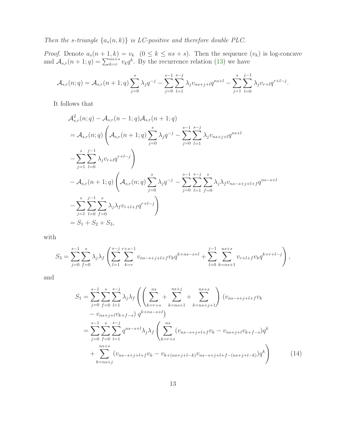Then the s-triangle  $\{a_s(n,k)\}\$ is LC-positive and therefore double PLC.

*Proof.* Denote  $a_s(n+1,k) = v_k$   $(0 \le k \le ns + s)$ . Then the sequence  $(v_k)$  is log-concave and  $\mathcal{A}_{s,r}(n+1;q) = \sum_{k=r}^{ns+s} v_k q^k$ . By the recurrence relation [\(13\)](#page-11-1) we have

$$
\mathcal{A}_{s,r}(n;q) = \mathcal{A}_{s,r}(n+1;q) \sum_{j=0}^{s} \lambda_j q^{-j} - \sum_{j=0}^{s-1} \sum_{l=1}^{s-j} \lambda_j v_{ns+j+l} q^{ns+l} - \sum_{j=1}^{s} \sum_{l=0}^{j-1} \lambda_j v_{r+l} q^{r+l-j}.
$$

It follows that

$$
\mathcal{A}_{s,r}^{2}(n;q) - \mathcal{A}_{s,r}(n-1;q) \mathcal{A}_{s,r}(n+1;q)
$$
\n
$$
= \mathcal{A}_{s,r}(n;q) \left( \mathcal{A}_{s,r}(n+1;q) \sum_{j=0}^{s} \lambda_{j} q^{-j} - \sum_{j=0}^{s-1} \sum_{l=1}^{s-j} \lambda_{j} v_{ns+j+l} q^{ns+l} \right)
$$
\n
$$
- \sum_{j=1}^{s} \sum_{l=0}^{j-1} \lambda_{j} v_{r+l} q^{r+l-j} \right)
$$
\n
$$
- \mathcal{A}_{s,r}(n+1;q) \left( \mathcal{A}_{s,r}(n;q) \sum_{j=0}^{s} \lambda_{j} q^{-j} - \sum_{j=0}^{s-1} \sum_{l=1}^{s-j} \sum_{f=0}^{s} \lambda_{j} \lambda_{f} v_{ns-s+j+l+f} q^{ns-s+l} \right)
$$
\n
$$
- \sum_{j=1}^{s} \sum_{l=0}^{j-1} \sum_{f=0}^{s} \lambda_{j} \lambda_{f} v_{r+l+f} q^{r+l-j} \right)
$$
\n
$$
= S_{1} + S_{2} + S_{3},
$$

with

$$
S_3 = \sum_{j=0}^{s-1} \sum_{f=0}^s \lambda_j \lambda_f \left( \sum_{l=1}^{s-j} \sum_{k=r}^{r+s-1} v_{ns-s+j+l+f} v_k q^{k+ns-s+l} + \sum_{l=0}^{j-1} \sum_{k=ns+1}^{ns+s} v_{r+l+f} v_k q^{k+r+l-j} \right),
$$

and

<span id="page-12-0"></span>
$$
S_{1} = \sum_{j=0}^{s-1} \sum_{f=0}^{s} \sum_{l=1}^{s-j} \lambda_{j} \lambda_{f} \left( \left( \sum_{k=r+s}^{ns} + \sum_{k=ns+1}^{ns+j} + \sum_{k=ns+j+1}^{ns+s} \right) (v_{ns-s+j+l+f}v_{k} - v_{ns+j+l}v_{k+f-s}) q^{k+ns-s+l} \right)
$$
  

$$
= \sum_{j=0}^{s-1} \sum_{f=0}^{s} \sum_{l=1}^{s-j} q^{ns-s+l} \lambda_{j} \lambda_{f} \left( \sum_{k=r+s}^{ns} (v_{ns-s+j+l+f}v_{k} - v_{ns+j+l}v_{k+f-s}) q^{k} + \sum_{k=ns+j}^{ns+s} (v_{ns-s+j+l+f}v_{k} - v_{k+(ns+j+l-k)}v_{ns-s+j+l+f-(ns+j+l-k)}) q^{k} \right)
$$
(14)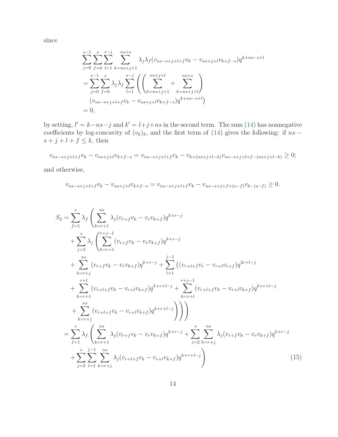since

$$
\sum_{j=0}^{s-1} \sum_{f=0}^{s} \sum_{l=1}^{s-j} \sum_{k=ns+j+1}^{ns+s} \lambda_j \lambda_f (v_{ns-s+j+l+f}v_k - v_{ns+j+l}v_{k+f-s}) q^{k+ns-s+l}
$$
  
= 
$$
\sum_{j=0}^{s-1} \sum_{f=0}^{s} \lambda_j \lambda_f \sum_{l=1}^{s-j} \left( \left( \sum_{k=ns+j+1}^{ns+j+l} + \sum_{k=ns+j+l}^{ns+s} \right) \right)
$$
  
= 
$$
(v_{ns-s+j+l+f}v_k - v_{ns+j+l}v_{k+f-s}) q^{k+ns-s+l}
$$
  
= 0,

by setting,  $l' = k - ns - j$  and  $k' = l + j + ns$  in the second term. The sum [\(14\)](#page-12-0) has nonnegative coefficients by log-concavity of  $(v_k)_k$ , and the first term of [\(14\)](#page-12-0) gives the following: if  $ns$  $s + j + l + f \leq k$ , then

$$
v_{ns-s+j+l+f}v_k - v_{ns+j+l}v_{k+f-s} = v_{ns-s+j+l+f}v_k - v_{k+(ns+j+l-k)}v_{ns-s+j+l+f-(ns+j+l-k)} \ge 0;
$$

and otherwise,

$$
v_{ns-s+j+l+f}v_k - v_{ns+j+l}v_{k+f-s} = v_{ns-s+j+l+f}v_k - v_{ns-s+j+f+(s-f)}v_{k-(s-f)} \ge 0.
$$

<span id="page-13-0"></span>
$$
S_{2} = \sum_{f=1}^{s} \lambda_{f} \left( \sum_{k=r+1}^{ns} \lambda_{j} (v_{r+f}v_{k} - v_{r}v_{k+f})q^{k+r-j} + \sum_{j=2}^{s} \lambda_{j} \left( \sum_{k=r+1}^{r+j-1} (v_{r+f}v_{k} - v_{r}v_{k+f})q^{k+r-j} + \sum_{l=1}^{ns} (v_{r+f}v_{k} - v_{r}v_{k+f})q^{k+r-j} + \sum_{l=1}^{ns} ((v_{r+l+f}v_{r} - v_{r+l}v_{r+f})q^{2r+l-j} + \sum_{k=r+1}^{r+l} (v_{r+l+f}v_{k} - v_{r+l}v_{k+f})q^{k+r+l-j} + \sum_{k=r+1}^{r+j-1} (v_{r+l+f}v_{k} - v_{r+l}v_{k+f})q^{k+r+l-j} + \sum_{k=r+1}^{ns} (v_{r+l+f}v_{k} - v_{r+l}v_{k+f})q^{k+r+l-j} \right)
$$
\n
$$
= \sum_{f=1}^{s} \lambda_{f} \left( \sum_{k=r+1}^{ns} \lambda_{j} (v_{r+f}v_{k} - v_{r}v_{k+f})q^{k+r-j} + \sum_{j=2}^{s} \sum_{k=r+j}^{ns} \lambda_{j} (v_{r+f}v_{k} - v_{r}v_{k+f})q^{k+r-j} + \sum_{j=2}^{s} \sum_{k=r+j}^{ns} \lambda_{j} (v_{r+f}v_{k} - v_{r}v_{k+f})q^{k+r-j} \right)
$$
\n
$$
(15)
$$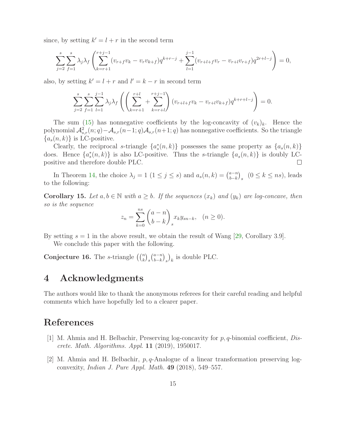since, by setting  $k' = l + r$  in the second term

$$
\sum_{j=2}^{s} \sum_{f=1}^{s} \lambda_j \lambda_f \left( \sum_{k=r+1}^{r+j-1} (v_{r+f}v_k - v_r v_{k+f}) q^{k+r-j} + \sum_{l=1}^{j-1} (v_{r+l+f}v_r - v_{r+l} v_{r+f}) q^{2r+l-j} \right) = 0,
$$

also, by setting  $k' = l + r$  and  $l' = k - r$  in second term

$$
\sum_{j=2}^{s} \sum_{f=1}^{s} \sum_{l=1}^{j-1} \lambda_j \lambda_f \left( \left( \sum_{k=r+1}^{r+l} + \sum_{k=r+l}^{r+j-1} \right) (v_{r+l+f}v_k - v_{r+l}v_{k+f}) q^{k+r+l-j} \right) = 0.
$$

The sum [\(15\)](#page-13-0) has nonnegative coefficients by the log-concavity of  $(v_k)_k$ . Hence the polynomial  $\mathcal{A}_{s,r}^2(n;q)-\mathcal{A}_{s,r}(n-1;q)\mathcal{A}_{s,r}(n+1;q)$  has nonnegative coefficients. So the triangle  ${a_s(n, k)}$  is LC-positive.

Clearly, the reciprocal s-triangle  $\{a_s^*(n,k)\}$  possesses the same property as  $\{a_s(n,k)\}$ does. Hence  $\{a_s^*(n,k)\}\$ is also LC-positive. Thus the s-triangle  $\{a_s(n,k)\}\$ is doubly LCpositive and therefore double PLC.  $\Box$ 

In Theorem [14,](#page-11-2) the choice  $\lambda_j = 1$   $(1 \leq j \leq s)$  and  $a_s(n, k) = \binom{a-n}{b-k}$  $_{b-k}^{a-n}$ <sub>s</sub>  $(0 \leq k \leq ns)$ , leads to the following:

**Corollary 15.** Let  $a, b \in \mathbb{N}$  with  $a \geq b$ . If the sequences  $(x_k)$  and  $(y_k)$  are log-concave, then so is the sequence

$$
z_n = \sum_{k=0}^{ns} {a - n \choose b - k} x_k y_{sn-k}, \quad (n \ge 0).
$$

By setting  $s = 1$  in the above result, we obtain the result of Wang [\[29,](#page-16-10) Corollary 3.9].

We conclude this paper with the following.

**Conjecture 16.** The s-triangle  $\binom{n}{k}_s \binom{a-n}{b-k}$  $_{b-k}^{a-n}\big)_{s}\big)_{k}$  is double PLC.

## 4 Acknowledgments

The authors would like to thank the anonymous referees for their careful reading and helpful comments which have hopefully led to a clearer paper.

# <span id="page-14-0"></span>References

- [1] M. Ahmia and H. Belbachir, Preserving log-concavity for p, q-binomial coefficient, Discrete. Math. Algorithms. Appl. 11 (2019), 1950017.
- <span id="page-14-1"></span>[2] M. Ahmia and H. Belbachir,  $p, q$ -Analogue of a linear transformation preserving logconvexity, Indian J. Pure Appl. Math. 49 (2018), 549–557.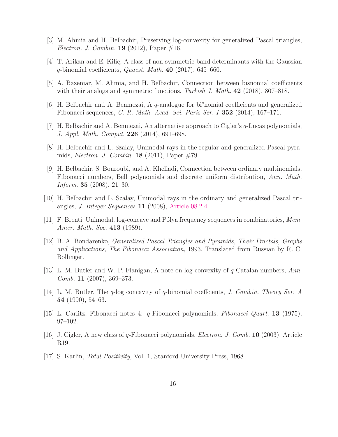- <span id="page-15-10"></span><span id="page-15-9"></span>[3] M. Ahmia and H. Belbachir, Preserving log-convexity for generalized Pascal triangles, *Electron. J. Combin.* **19** (2012), Paper  $\#16$ .
- <span id="page-15-8"></span>[4] T. Arikan and E. Kiliç, A class of non-symmetric band determinants with the Gaussian  $q$ -binomial coefficients, Quaest. Math. 40 (2017), 645–660.
- <span id="page-15-7"></span>[5] A. Bazeniar, M. Ahmia, and H. Belbachir, Connection between bisnomial coefficients with their analogs and symmetric functions, Turkish J. Math.  $42$  (2018), 807–818.
- <span id="page-15-6"></span>[6] H. Belbachir and A. Benmezai, A  $q$ -analogue for bisomial coefficients and generalized Fibonacci sequences, C. R. Math. Acad. Sci. Paris Ser. I 352 (2014), 167–171.
- [7] H. Belbachir and A. Benmezai, An alternative approach to Cigler's q-Lucas polynomials, J. Appl. Math. Comput. 226 (2014), 691–698.
- <span id="page-15-2"></span>[8] H. Belbachir and L. Szalay, Unimodal rays in the regular and generalized Pascal pyramids, Electron. J. Combin. 18 (2011), Paper #79.
- [9] H. Belbachir, S. Bouroubi, and A. Khelladi, Connection between ordinary multinomials, Fibonacci numbers, Bell polynomials and discrete uniform distribution, Ann. Math. *Inform.* **35** (2008), 21–30.
- <span id="page-15-0"></span>[10] H. Belbachir and L. Szalay, Unimodal rays in the ordinary and generalized Pascal triangles, J. Integer Sequences 11 (2008), [Article 08.2.4.](https://cs.uwaterloo.ca/journals/JIS/VOL11/Szalay/szalay8.html)
- <span id="page-15-3"></span>[11] F. Brenti, Unimodal, log-concave and Pólya frequency sequences in combinatorics, Mem. Amer. Math. Soc. 413 (1989).
- [12] B. A. Bondarenko, Generalized Pascal Triangles and Pyramids, Their Fractals, Graphs and Applications, The Fibonacci Association, 1993. Translated from Russian by R. C. Bollinger.
- [13] L. M. Butler and W. P. Flanigan, A note on log-convexity of  $q$ -Catalan numbers, Ann.  $Comb. 11 (2007), 369-373.$
- <span id="page-15-1"></span>[14] L. M. Butler, The q-log concavity of q-binomial coeffcients, J. Combin. Theory Ser. A 54 (1990), 54–63.
- <span id="page-15-5"></span><span id="page-15-4"></span>[15] L. Carlitz, Fibonacci notes 4: q-Fibonacci polynomials, Fibonacci Quart. 13 (1975), 97–102.
- [16] J. Cigler, A new class of q-Fibonacci polynomials, Electron. J. Comb. 10 (2003), Article R19.
- [17] S. Karlin, Total Positivity, Vol. 1, Stanford University Press, 1968.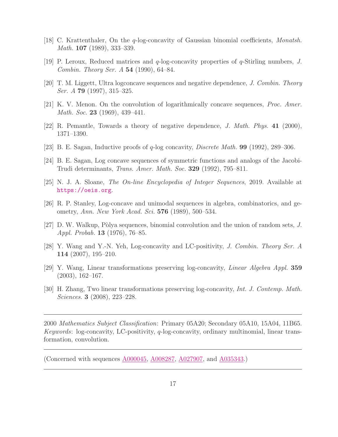- <span id="page-16-3"></span><span id="page-16-2"></span>[18] C. Krattenthaler, On the q-log-concavity of Gaussian binomial coefficients, Monatsh. Math. **107** (1989), 333–339.
- [19] P. Leroux, Reduced matrices and q-log-concavity properties of q-Stirling numbers, J. Combin. Theory Ser. A 54 (1990), 64–84.
- <span id="page-16-6"></span>[20] T. M. Liggett, Ultra logconcave sequences and negative dependence, J. Combin. Theory *Ser. A* **79** (1997), 315–325.
- [21] K. V. Menon. On the convolution of logarithmically concave sequences, Proc. Amer. *Math. Soc.* 23 (1969), 439–441.
- <span id="page-16-1"></span>[22] R. Pemantle, Towards a theory of negative dependence, J. Math. Phys. 41 (2000), 1371–1390.
- <span id="page-16-4"></span>[23] B. E. Sagan, Inductive proofs of q-log concavity, Discrete Math. 99 (1992), 289–306.
- <span id="page-16-5"></span>[24] B. E. Sagan, Log concave sequences of symmetric functions and analogs of the Jacobi-Trudi determinants, Trans. Amer. Math. Soc. 329 (1992), 795–811.
- <span id="page-16-0"></span>[25] N. J. A. Sloane, The On-line Encyclopedia of Integer Sequences, 2019. Available at <https://oeis.org>.
- <span id="page-16-7"></span>[26] R. P. Stanley, Log-concave and unimodal sequences in algebra, combinatorics, and geometry, Ann. New York Acad. Sci. 576 (1989), 500–534.
- [27] D. W. Walkup, Pòlya sequences, binomial convolution and the union of random sets,  $J$ . Appl. Probab. 13 (1976), 76–85.
- <span id="page-16-8"></span>[28] Y. Wang and Y.-N. Yeh, Log-concavity and LC-positivity, J. Combin. Theory Ser. A 114 (2007), 195–210.
- <span id="page-16-10"></span><span id="page-16-9"></span>[29] Y. Wang, Linear transformations preserving log-concavity, Linear Algebra Appl. 359 (2003), 162–167.
- [30] H. Zhang, Two linear transformations preserving log-concavity, Int. J. Contemp. Math. Sciences. 3 (2008), 223–228.

2000 Mathematics Subject Classification: Primary 05A20; Secondary 05A10, 15A04, 11B65. Keywords: log-concavity, LC-positivity,  $q$ -log-concavity, ordinary multinomial, linear transformation, convolution.

(Concerned with sequences  $A000045$ ,  $A008287$ ,  $A027907$ , and  $A035343$ .)